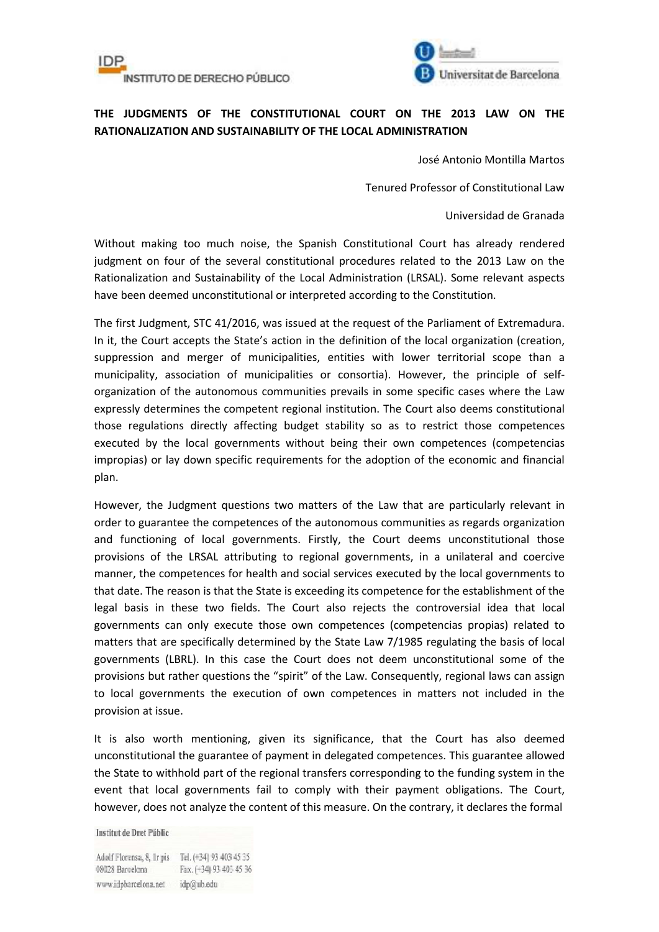



## **THE JUDGMENTS OF THE CONSTITUTIONAL COURT ON THE 2013 LAW ON THE RATIONALIZATION AND SUSTAINABILITY OF THE LOCAL ADMINISTRATION**

José Antonio Montilla Martos

Tenured Professor of Constitutional Law

Universidad de Granada

Without making too much noise, the Spanish Constitutional Court has already rendered judgment on four of the several constitutional procedures related to the 2013 Law on the Rationalization and Sustainability of the Local Administration (LRSAL). Some relevant aspects have been deemed unconstitutional or interpreted according to the Constitution.

The first Judgment, STC 41/2016, was issued at the request of the Parliament of Extremadura. In it, the Court accepts the State's action in the definition of the local organization (creation, suppression and merger of municipalities, entities with lower territorial scope than a municipality, association of municipalities or consortia). However, the principle of selforganization of the autonomous communities prevails in some specific cases where the Law expressly determines the competent regional institution. The Court also deems constitutional those regulations directly affecting budget stability so as to restrict those competences executed by the local governments without being their own competences (competencias impropias) or lay down specific requirements for the adoption of the economic and financial plan.

However, the Judgment questions two matters of the Law that are particularly relevant in order to guarantee the competences of the autonomous communities as regards organization and functioning of local governments. Firstly, the Court deems unconstitutional those provisions of the LRSAL attributing to regional governments, in a unilateral and coercive manner, the competences for health and social services executed by the local governments to that date. The reason is that the State is exceeding its competence for the establishment of the legal basis in these two fields. The Court also rejects the controversial idea that local governments can only execute those own competences (competencias propias) related to matters that are specifically determined by the State Law 7/1985 regulating the basis of local governments (LBRL). In this case the Court does not deem unconstitutional some of the provisions but rather questions the "spirit" of the Law. Consequently, regional laws can assign to local governments the execution of own competences in matters not included in the provision at issue.

It is also worth mentioning, given its significance, that the Court has also deemed unconstitutional the guarantee of payment in delegated competences. This guarantee allowed the State to withhold part of the regional transfers corresponding to the funding system in the event that local governments fail to comply with their payment obligations. The Court, however, does not analyze the content of this measure. On the contrary, it declares the formal

Institut de Dret Públic

Adolf Florensa, 8, Ir pis Tel. (+34) 93 403 45 35 08028 Barcelona Fax. (+34) 93 403 45 36 www.idpbarcelona.net idp@ub.edu